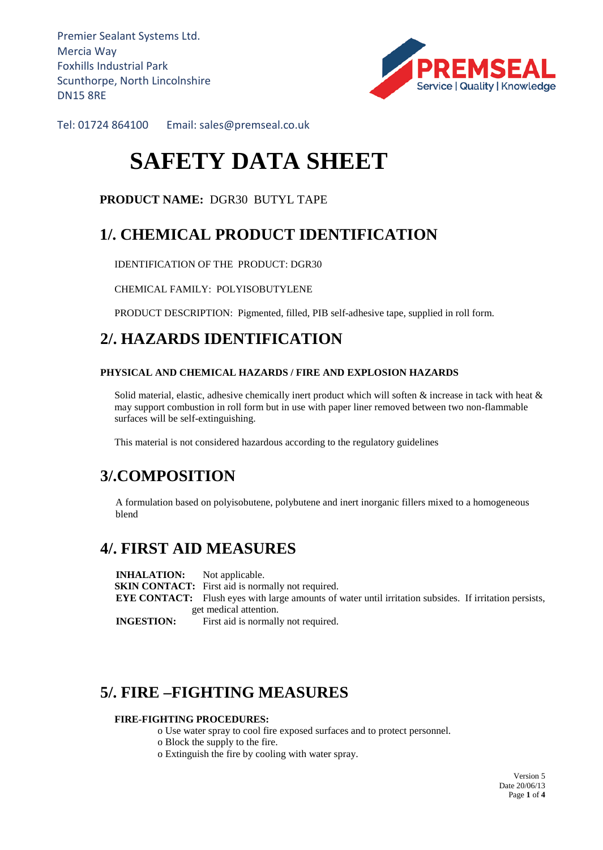Premier Sealant Systems Ltd. Mercia Way Foxhills Industrial Park Scunthorpe, North Lincolnshire DN15 8RE



Tel: 01724 864100 Email: sales@premseal.co.uk

# **SAFETY DATA SHEET**

### **PRODUCT NAME:** DGR30 BUTYL TAPE

# **1/. CHEMICAL PRODUCT IDENTIFICATION**

IDENTIFICATION OF THE PRODUCT: DGR30

CHEMICAL FAMILY: POLYISOBUTYLENE

PRODUCT DESCRIPTION: Pigmented, filled, PIB self-adhesive tape, supplied in roll form.

# **2/. HAZARDS IDENTIFICATION**

### **PHYSICAL AND CHEMICAL HAZARDS / FIRE AND EXPLOSION HAZARDS**

Solid material, elastic, adhesive chemically inert product which will soften  $\&$  increase in tack with heat  $\&$ may support combustion in roll form but in use with paper liner removed between two non-flammable surfaces will be self-extinguishing.

This material is not considered hazardous according to the regulatory guidelines

# **3/.COMPOSITION**

 A formulation based on polyisobutene, polybutene and inert inorganic fillers mixed to a homogeneous blend

### **4/. FIRST AID MEASURES**

**INHALATION:** Not applicable. **SKIN CONTACT:** First aid is normally not required. **EYE CONTACT:** Flush eyes with large amounts of water until irritation subsides. If irritation persists, get medical attention. **INGESTION:** First aid is normally not required.

# **5/. FIRE –FIGHTING MEASURES**

#### **FIRE-FIGHTING PROCEDURES:**

o Use water spray to cool fire exposed surfaces and to protect personnel.

- o Block the supply to the fire.
- o Extinguish the fire by cooling with water spray.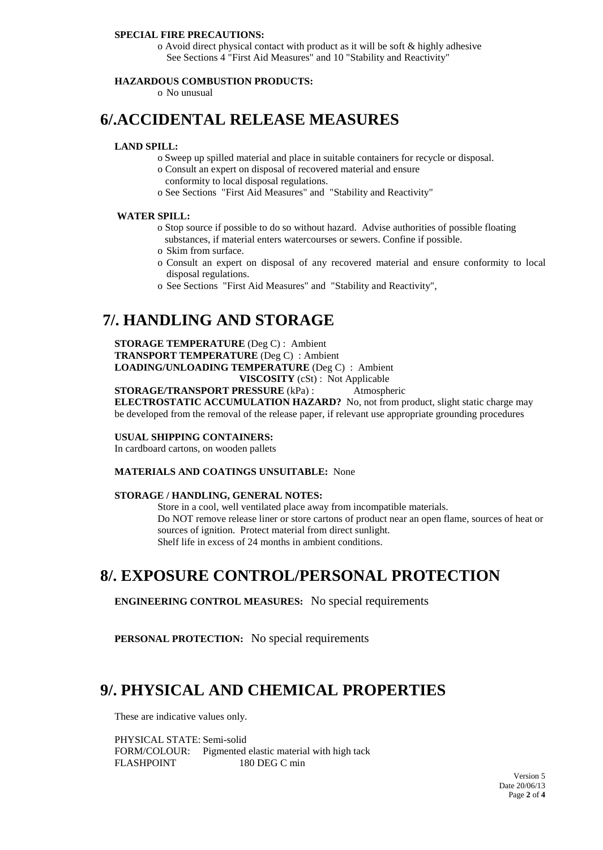#### **SPECIAL FIRE PRECAUTIONS:**

o Avoid direct physical contact with product as it will be soft & highly adhesive See Sections 4 "First Aid Measures" and 10 "Stability and Reactivity"

### **HAZARDOUS COMBUSTION PRODUCTS:**

o No unusual

### **6/.ACCIDENTAL RELEASE MEASURES**

### **LAND SPILL:**

- o Sweep up spilled material and place in suitable containers for recycle or disposal.
- o Consult an expert on disposal of recovered material and ensure
- conformity to local disposal regulations.
- o See Sections "First Aid Measures" and "Stability and Reactivity"

#### **WATER SPILL:**

- o Stop source if possible to do so without hazard. Advise authorities of possible floating substances, if material enters watercourses or sewers. Confine if possible.
- o Skim from surface.
- o Consult an expert on disposal of any recovered material and ensure conformity to local disposal regulations.
- o See Sections "First Aid Measures" and "Stability and Reactivity",

### **7/. HANDLING AND STORAGE**

**STORAGE TEMPERATURE** (Deg C) : Ambient **TRANSPORT TEMPERATURE** (Deg C) : Ambient **LOADING/UNLOADING TEMPERATURE** (Deg C) : Ambient **VISCOSITY** (cSt) : Not Applicable

**STORAGE/TRANSPORT PRESSURE** (kPa) : Atmospheric

**ELECTROSTATIC ACCUMULATION HAZARD?** No, not from product, slight static charge may be developed from the removal of the release paper, if relevant use appropriate grounding procedures

### **USUAL SHIPPING CONTAINERS:**

In cardboard cartons, on wooden pallets

#### **MATERIALS AND COATINGS UNSUITABLE:** None

#### **STORAGE / HANDLING, GENERAL NOTES:**

Store in a cool, well ventilated place away from incompatible materials. Do NOT remove release liner or store cartons of product near an open flame, sources of heat or sources of ignition. Protect material from direct sunlight. Shelf life in excess of 24 months in ambient conditions.

### **8/. EXPOSURE CONTROL/PERSONAL PROTECTION**

**ENGINEERING CONTROL MEASURES:** No special requirements

**PERSONAL PROTECTION:** No special requirements

### **9/. PHYSICAL AND CHEMICAL PROPERTIES**

These are indicative values only.

PHYSICAL STATE: Semi-solid FORM/COLOUR: Pigmented elastic material with high tack FLASHPOINT 180 DEG C min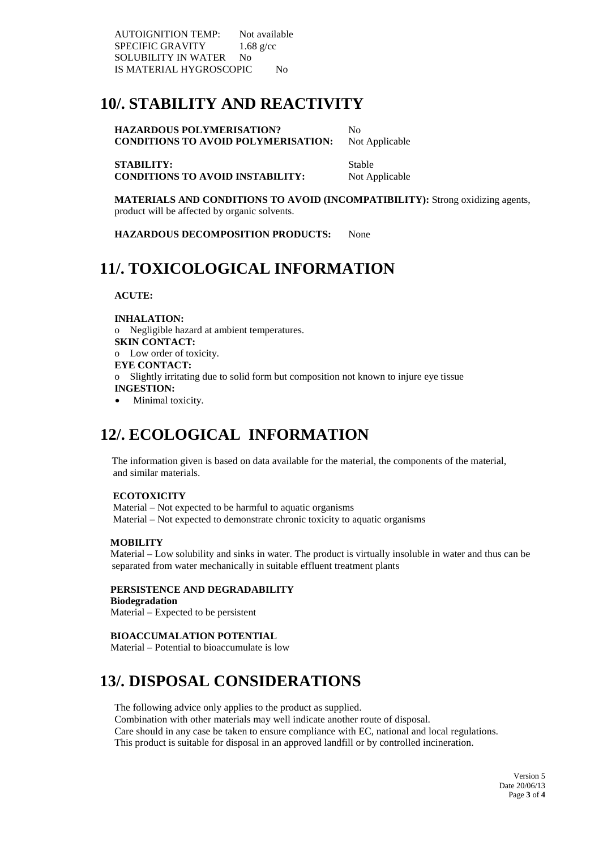AUTOIGNITION TEMP: Not available SPECIFIC GRAVITY 1.68 g/cc SOLUBILITY IN WATER No IS MATERIAL HYGROSCOPIC No

# **10/. STABILITY AND REACTIVITY**

**HAZARDOUS POLYMERISATION?** No **CONDITIONS TO AVOID POLYMERISATION:** Not Applicable

**STABILITY:** Stable **CONDITIONS TO AVOID INSTABILITY:** Not Applicable

**MATERIALS AND CONDITIONS TO AVOID (INCOMPATIBILITY):** Strong oxidizing agents, product will be affected by organic solvents.

**HAZARDOUS DECOMPOSITION PRODUCTS:** None

# **11/. TOXICOLOGICAL INFORMATION**

 **ACUTE:**

**INHALATION:** o Negligible hazard at ambient temperatures. **SKIN CONTACT:** o Low order of toxicity. **EYE CONTACT:** o Slightly irritating due to solid form but composition not known to injure eye tissue **INGESTION:** Minimal toxicity.

# **12/. ECOLOGICAL INFORMATION**

The information given is based on data available for the material, the components of the material, and similar materials.

### **ECOTOXICITY**

Material – Not expected to be harmful to aquatic organisms Material – Not expected to demonstrate chronic toxicity to aquatic organisms

### **MOBILITY**

Material – Low solubility and sinks in water. The product is virtually insoluble in water and thus can be separated from water mechanically in suitable effluent treatment plants

### **PERSISTENCE AND DEGRADABILITY**

 **Biodegradation** Material – Expected to be persistent

### **BIOACCUMALATION POTENTIAL**

Material – Potential to bioaccumulate is low

# **13/. DISPOSAL CONSIDERATIONS**

The following advice only applies to the product as supplied. Combination with other materials may well indicate another route of disposal. Care should in any case be taken to ensure compliance with EC, national and local regulations. This product is suitable for disposal in an approved landfill or by controlled incineration.

> Version 5 Date 20/06/13 Page **3** of **4**